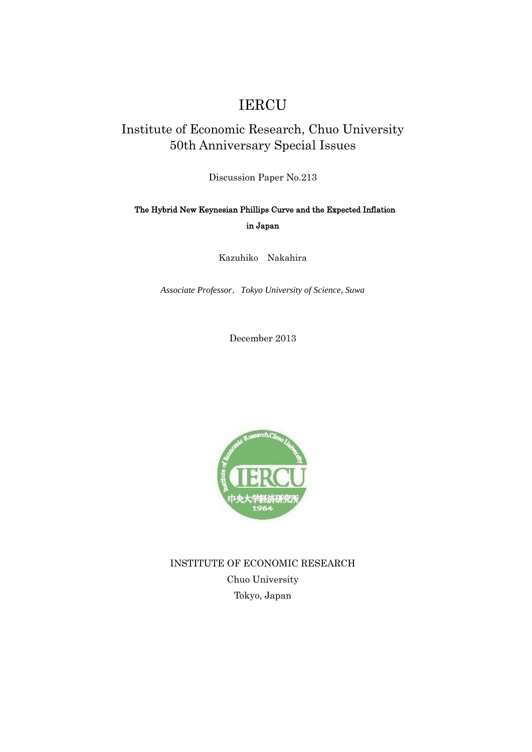# IERCU

## Institute of Economic Research, Chuo University 50th Anniversary Special Issues

Discussion Paper No.213

### The Hybrid New Keynesian Phillips Curve and the Expected Inflation in Japan

Kazuhiko Nakahira

*Associate Professor*,*Tokyo University of Science, Suwa*

December 2013



INSTITUTE OF ECONOMIC RESEARCH Chuo University Tokyo, Japan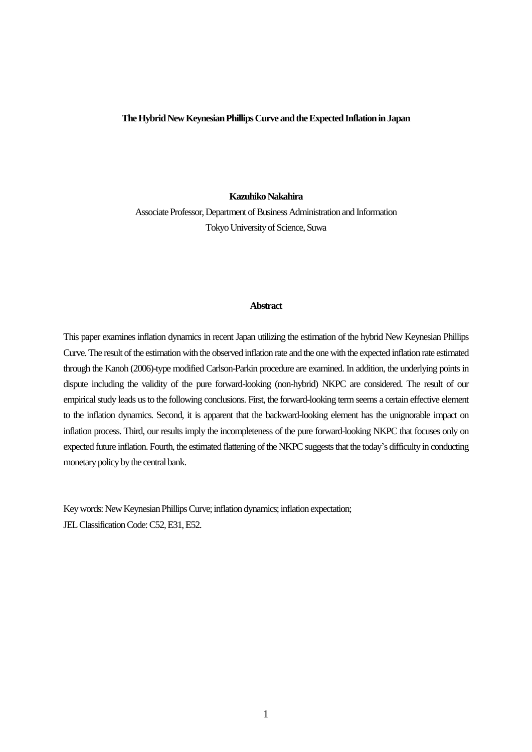#### **TheHybrid New Keynesian Phillips Curve and the Expected Inflationin Japan**

#### **Kazuhiko Nakahira**

Associate Professor, Department of Business Administration and Information Tokyo University of Science, Suwa

#### **Abstract**

This paper examines inflation dynamics in recent Japan utilizing the estimation of the hybrid New Keynesian Phillips Curve. The result of the estimation with the observed inflation rate and the one with the expected inflation rate estimated through the Kanoh (2006)-type modified Carlson-Parkin procedure are examined. In addition, the underlying points in dispute including the validity of the pure forward-looking (non-hybrid) NKPC are considered. The result of our empirical study leads us to the following conclusions. First, the forward-looking term seems a certain effective element to the inflation dynamics. Second, it is apparent that the backward-looking element has the unignorable impact on inflation process. Third, our results imply the incompleteness of the pure forward-looking NKPC that focuses only on expected future inflation. Fourth, the estimated flattening of the NKPC suggests that the today's difficulty in conducting monetary policy by the central bank.

Key words: New Keynesian Phillips Curve; inflation dynamics; inflation expectation; JEL Classification Code: C52, E31, E52.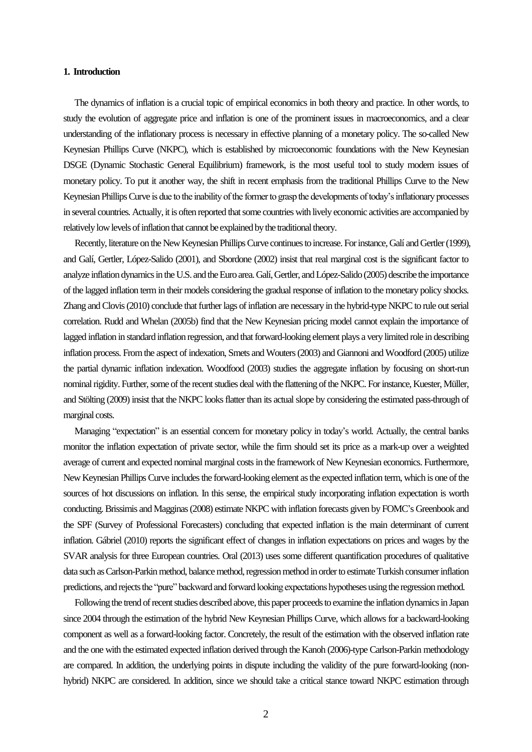#### **1. Introduction**

 The dynamics of inflation is a crucial topic of empirical economics in both theory and practice. In other words, to study the evolution of aggregate price and inflation is one of the prominent issues in macroeconomics, and a clear understanding of the inflationary process is necessary in effective planning of a monetary policy. The so-called New Keynesian Phillips Curve (NKPC), which is established by microeconomic foundations with the New Keynesian DSGE (Dynamic Stochastic General Equilibrium) framework, is the most useful tool to study modern issues of monetary policy. To put it another way, the shift in recent emphasis from the traditional Phillips Curve to the New Keynesian Phillips Curve is due to the inability of the former to grasp the developments of today's inflationary processes in several countries. Actually, it is often reported that some countries with lively economic activities are accompanied by relatively low levels of inflation that cannot be explained by the traditional theory.

 Recently, literature on the New Keynesian Phillips Curve continues to increase. For instance, Galí and Gertler (1999), and Galí, Gertler, López-Salido (2001), and Sbordone (2002) insist that real marginal cost is the significant factor to analyze inflation dynamics in the U.S. and the Euro area. Galí, Gertler, and López-Salido (2005) describe the importance of the lagged inflation term in their models considering the gradual response of inflation to the monetary policy shocks. Zhang and Clovis (2010) conclude that further lags of inflation are necessary in the hybrid-type NKPC to rule out serial correlation. Rudd and Whelan (2005b) find that the New Keynesian pricing model cannot explain the importance of lagged inflation in standard inflation regression, and that forward-looking element plays a very limited role in describing inflation process. From the aspect of indexation, Smets and Wouters (2003) and Giannoni and Woodford (2005) utilize the partial dynamic inflation indexation. Woodfood (2003) studies the aggregate inflation by focusing on short-run nominal rigidity. Further, some of the recent studies deal with the flattening of the NKPC. For instance, Kuester, Müller, and Stölting (2009) insist that the NKPC looks flatter than its actual slope by considering the estimated pass-through of marginal costs.

 Managing "expectation" is an essential concern for monetary policy in today's world. Actually, the central banks monitor the inflation expectation of private sector, while the firm should set its price as a mark-up over a weighted average of current and expected nominal marginal costs in the framework of New Keynesian economics. Furthermore, New Keynesian Phillips Curve includes the forward-looking element as the expected inflation term, which is one of the sources of hot discussions on inflation. In this sense, the empirical study incorporating inflation expectation is worth conducting. Brissimis and Magginas (2008) estimate NKPC with inflation forecasts given by FOMC's Greenbook and the SPF (Survey of Professional Forecasters) concluding that expected inflation is the main determinant of current inflation. Gábriel (2010) reports the significant effect of changes in inflation expectations on prices and wages by the SVAR analysis for three European countries. Oral (2013) uses some different quantification procedures of qualitative data such as Carlson-Parkin method, balance method, regression method in order to estimate Turkish consumer inflation predictions, and rejects the "pure" backward and forward looking expectations hypotheses using the regression method.

Following the trend of recent studies described above, this paper proceeds to examine the inflation dynamics in Japan since 2004 through the estimation of the hybrid New Keynesian Phillips Curve, which allows for a backward-looking component as well as a forward-looking factor. Concretely, the result of the estimation with the observed inflation rate and the one with the estimated expected inflation derived through the Kanoh (2006)-type Carlson-Parkin methodology are compared. In addition, the underlying points in dispute including the validity of the pure forward-looking (nonhybrid) NKPC are considered. In addition, since we should take a critical stance toward NKPC estimation through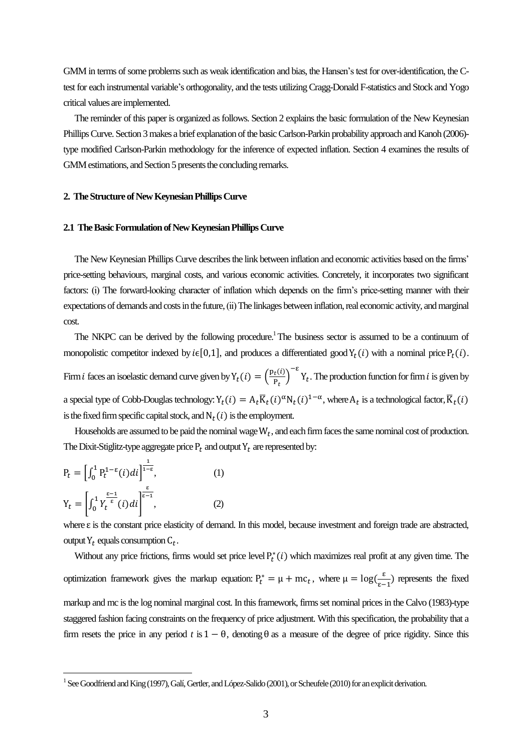GMM in terms of some problems such as weak identification and bias, the Hansen's test for over-identification, the Ctest for each instrumental variable's orthogonality, and the tests utilizing Cragg-Donald F-statistics and Stock and Yogo critical values are implemented.

 The reminder of this paper is organized as follows. Section 2 explains the basic formulation of the New Keynesian Phillips Curve. Section 3 makes a brief explanation of the basic Carlson-Parkin probability approach and Kanoh (2006) type modified Carlson-Parkin methodology for the inference of expected inflation. Section 4 examines the results of GMM estimations, and Section 5 presents the concluding remarks.

#### **2. The Structure of New Keynesian Phillips Curve**

#### **2.1 The Basic Formulation of New Keynesian Phillips Curve**

 The New Keynesian Phillips Curve describes the link between inflation and economic activities based on the firms' price-setting behaviours, marginal costs, and various economic activities. Concretely, it incorporates two significant factors: (i) The forward-looking character of inflation which depends on the firm's price-setting manner with their expectations of demands and costs in the future, (ii) The linkages between inflation, real economic activity, and marginal cost.

The NKPC can be derived by the following procedure.<sup>1</sup> The business sector is assumed to be a continuum of monopolistic competitor indexed by  $i \in [0,1]$ , and produces a differentiated good  $Y_t(i)$  with a nominal price  $P_t(i)$ . Firm *i* faces an isoelastic demand curve given by  $Y_t(i) = \left(\frac{p_t(i)}{n}\right)^2$  $\left(\frac{t^{i}}{P_t}\right)^{-\epsilon} Y_t$ . The production function for firm *i* is given by a special type of Cobb-Douglas technology:  $Y_t(i) = A_t \overline{K}_t(i)^{\alpha} N_t(i)^{1-\alpha}$ , where  $A_t$  is a technological factor,  $\overline{K}_t$ is the fixed firm specific capital stock, and  $N_t(i)$  is the employment.

Households are assumed to be paid the nominal wage  $W_t$ , and each firm faces the same nominal cost of production. The Dixit-Stiglitz-type aggregate price  $P_t$  and output  $Y_t$  are represented by:

$$
P_t = \left[\int_0^1 P_t^{1-\epsilon}(i)di\right]^{\frac{1}{1-\epsilon}}, \tag{1}
$$

$$
Y_t = \left[\int_0^1 Y_t^{\frac{\epsilon-1}{\epsilon}}(i)di\right]^{\frac{\epsilon}{\epsilon-1}}, \tag{2}
$$

 $\overline{a}$ 

where  $\varepsilon$  is the constant price elasticity of demand. In this model, because investment and foreign trade are abstracted, output  $Y_t$  equals consumption  $C_t$ .

Without any price frictions, firms would set price level  $P_t^*(i)$  which maximizes real profit at any given time. The optimization framework gives the markup equation:  $P_t^* = \mu + mc_t$ , where  $\mu = \log(\frac{\varepsilon}{\varepsilon})$  $\frac{\varepsilon}{\varepsilon-1}$ ) represents the fixed markup and mc is the log nominal marginal cost. In this framework, firms set nominal prices in the Calvo (1983)-type staggered fashion facing constraints on the frequency of price adjustment. With this specification, the probability that a firm resets the price in any period t is  $1 - \theta$ , denoting  $\theta$  as a measure of the degree of price rigidity. Since this

 $^1$  See Goodfriend and King (1997), Galí, Gertler, and López-Salido (2001), or Scheufele (2010) for an explicit derivation.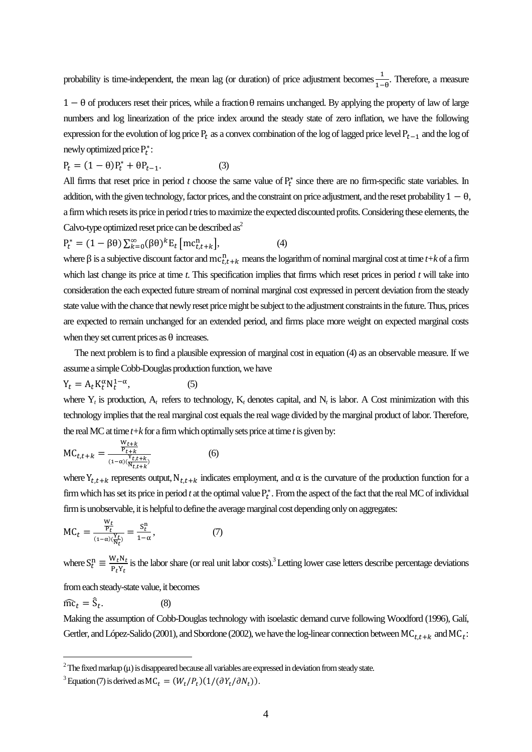probability is time-independent, the mean lag (or duration) of price adjustment becomes  $\frac{1}{1-\theta}$ . Therefore, a measure

 $1 - \theta$  of producers reset their prices, while a fraction  $\theta$  remains unchanged. By applying the property of law of large numbers and log linearization of the price index around the steady state of zero inflation, we have the following expression for the evolution of log price  $P_t$  as a convex combination of the log of lagged price level  $P_{t-1}$  and the log of newly optimized price  $P_t^*$ :

$$
P_t = (1 - \theta)P_t^* + \theta P_{t-1}.
$$
\n(3)

All firms that reset price in period  $t$  choose the same value of  $P_t^*$  since there are no firm-specific state variables. In addition, with the given technology, factor prices, and the constraint on price adjustment, and the reset probability  $1 - \theta$ , a firm which resets its price in period *t*tries to maximize the expected discounted profits. Considering these elements, the Calvo-type optimized reset price can be described  $as^2$ 

$$
P_t^* = (1 - \beta \theta) \sum_{k=0}^{\infty} (\beta \theta)^k E_t \left[ mc_{t,t+k}^n \right], \tag{4}
$$

where  $\beta$  is a subjective discount factor and  $mc_{t,t+k}^n$  means the logarithm of nominal marginal cost at time  $t+k$  of a firm which last change its price at time *t*. This specification implies that firms which reset prices in period *t* will take into consideration the each expected future stream of nominal marginal cost expressed in percent deviation from the steady state value with the chance that newly reset price might be subject to the adjustment constraints in the future. Thus, prices are expected to remain unchanged for an extended period, and firms place more weight on expected marginal costs when they set current prices as  $\theta$  increases.

 The next problem is to find a plausible expression of marginal cost in equation (4) as an observable measure. If we assume a simple Cobb-Douglas production function, we have

$$
Y_t = A_t K_t^{\alpha} N_t^{1-\alpha}, \tag{5}
$$

where  $Y_t$  is production,  $A_t$  refers to technology,  $K_t$  denotes capital, and  $N_t$  is labor. A Cost minimization with this technology implies that the real marginal cost equals the real wage divided by the marginal product of labor. Therefore, the real MC at time  $t+k$  for a firm which optimally sets price at time  $t$  is given by:

$$
MC_{t,t+k} = \frac{\frac{W_{t+k}}{P_{t+k}}}{\frac{Y_{t+k}}{(1-\alpha)(\frac{Y_{t,t+k}}{N_{t,t+k}})}}
$$
(6)

where  $Y_{t,t+k}$  represents output,  $N_{t,t+k}$  indicates employment, and  $\alpha$  is the curvature of the production function for a firm which has set its price in period  $t$  at the optimal value  $P_t^*$ . From the aspect of the fact that the real MC of individual firm is unobservable, it is helpful to define the average marginal cost depending only on aggregates:

$$
MC_t = \frac{\frac{W_t}{P_t}}{\frac{1 - \alpha}{W_t}} = \frac{S_t^n}{1 - \alpha},\tag{7}
$$

where  $S_t^n \equiv \frac{W}{R}$  $\frac{W_t N_t}{P_t Y_t}$  is the labor share (or real unit labor costs).<sup>3</sup> Letting lower case letters describe percentage deviations

from each steady-state value, it becomes

 $\widehat{\text{mc}}_t = \widehat{\text{S}}_t$ . (8)

 $\overline{a}$ 

Making the assumption of Cobb-Douglas technology with isoelastic demand curve following Woodford (1996), Galí, Gertler, and López-Salido (2001), and Sbordone (2002), we have the log-linear connection between  $MC_{t.t+k}$  and  $MC_t$ :

 $^2$  The fixed markup ( $\mu$ ) is disappeared because all variables are expressed in deviation from steady state.

<sup>&</sup>lt;sup>3</sup> Equation (7) is derived as  $MC_t = (W_t/P_t)(1/(\partial Y_t/\partial N_t))$ .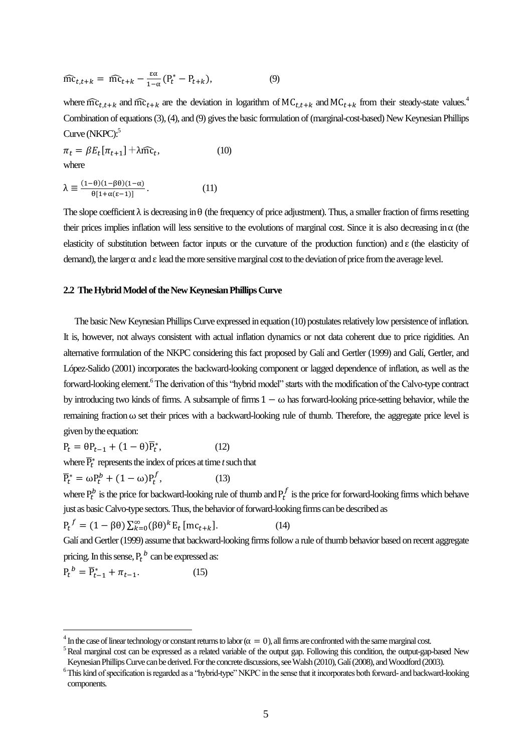$$
\widehat{\text{mc}}_{t,t+k} = \widehat{\text{mc}}_{t+k} - \frac{\varepsilon \alpha}{1-\alpha} (P_t^* - P_{t+k}), \tag{9}
$$

where  $\widehat{mc}_{t,t+k}$  and  $\widehat{mc}_{t+k}$  are the deviation in logarithm of  $MC_{t+k}$  and  $MC_{t+k}$  from their steady-state values.<sup>4</sup> Combination of equations (3), (4), and (9) gives the basic formulation of (marginal-cost-based) New Keynesian Phillips Curve (NKPC):<sup>5</sup>

$$
\pi_t = \beta E_t[\pi_{t+1}] + \lambda \widehat{mc}_t, \tag{10}
$$
  
where

$$
\lambda \equiv \frac{(1-\theta)(1-\beta\theta)(1-\alpha)}{\theta[1+\alpha(\epsilon-1)]}.
$$
 (11)

The slope coefficient  $\lambda$  is decreasing in  $\theta$  (the frequency of price adjustment). Thus, a smaller fraction of firms resetting their prices implies inflation will less sensitive to the evolutions of marginal cost. Since it is also decreasing in  $\alpha$  (the elasticity of substitution between factor inputs or the curvature of the production function) and  $\varepsilon$  (the elasticity of demand), the larger  $\alpha$  and  $\epsilon$  lead the more sensitive marginal cost to the deviation of price from the average level.

#### 2.2 The Hybrid Model of the New Keynesian Phillips Curve

 The basic New Keynesian Phillips Curve expressed in equation (10) postulates relatively low persistence of inflation. It is, however, not always consistent with actual inflation dynamics or not data coherent due to price rigidities. An alternative formulation of the NKPC considering this fact proposed by Galí and Gertler (1999) and Galí, Gertler, and López-Salido (2001) incorporates the backward-looking component or lagged dependence of inflation, as well as the forward-looking element.<sup>6</sup> The derivation of this "hybrid model" starts with the modification of the Calvo-type contract by introducing two kinds of firms. A subsample of firms  $1 - \omega$  has forward-looking price-setting behavior, while the remaining fraction  $\omega$  set their prices with a backward-looking rule of thumb. Therefore, the aggregate price level is given by the equation:

$$
P_t = \theta P_{t-1} + (1 - \theta)\overline{P}_t^*,\tag{12}
$$

where  $\overline{P}_t^*$  represents the index of prices at time *t* such that

$$
\overline{P}_t^* = \omega P_t^b + (1 - \omega) P_t^f, \qquad (13)
$$

where  $P_t^b$  is the price for backward-looking rule of thumb and  $P_t^f$  is the price for forward-looking firms which behave just as basic Calvo-type sectors. Thus, the behavior of forward-looking firms can be described as

$$
P_t^f = (1 - \beta \theta) \sum_{k=0}^{\infty} (\beta \theta)^k E_t [mc_{t+k}].
$$
 (14)

Galí and Gertler (1999) assume that backward-looking firms follow a rule of thumb behavior based on recent aggregate pricing. In this sense,  $P_t^b$  can be expressed as:

$$
P_t^{\ b} = \overline{P}_{t-1}^* + \pi_{t-1}.\tag{15}
$$

 $\overline{a}$ 

 $^4$  In the case of linear technology or constant returns to labor ( $\alpha=0$ ), all firms are confronted with the same marginal cost.

<sup>&</sup>lt;sup>5</sup> Real marginal cost can be expressed as a related variable of the output gap. Following this condition, the output-gap-based New Keynesian Phillips Curve can be derived. For the concrete discussions, see Walsh (2010), Galí (2008), and Woodford (2003).

<sup>&</sup>lt;sup>6</sup>This kind of specification is regarded as a "hybrid-type" NKPC in the sense that it incorporates both forward- and backward-looking components.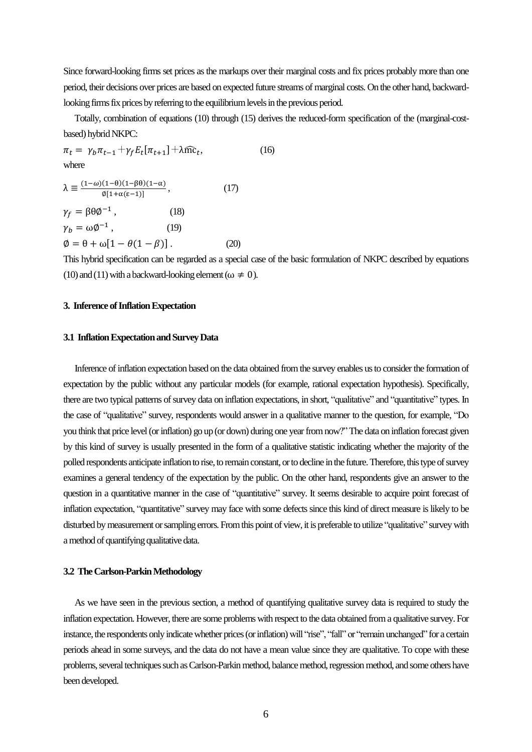Since forward-looking firms set prices as the markups over their marginal costs and fix prices probably more than one period, their decisions over prices are based on expected future streams of marginal costs. On the other hand, backwardlooking firms fix prices by referring to the equilibrium levels in the previous period.

 Totally, combination of equations (10) through (15) derives the reduced-form specification of the (marginal-costbased) hybrid NKPC:

 $\pi_t = \gamma_b \pi_{t-1} + \gamma_f E_t[\pi_{t+1}] + \lambda \widehat{\text{mc}}_t$  $(16)$ where  $(1-\omega)(1-\theta)(1-\theta)(1-\alpha)$ 

$$
\lambda \equiv \frac{(1-\omega)(1-\omega)(1-\omega)(1-\omega)}{\phi[1+\alpha(\epsilon-1)]}, \qquad (17)
$$
  
\n
$$
\gamma_f = \beta \theta \phi^{-1}, \qquad (18)
$$
  
\n
$$
\gamma_b = \omega \phi^{-1}, \qquad (19)
$$
  
\n
$$
\phi = \theta + \omega[1 - \theta(1 - \beta)]. \qquad (20)
$$

This hybrid specification can be regarded as a special case of the basic formulation of NKPC described by equations (10) and (11) with a backward-looking element ( $\omega \neq 0$ ).

#### **3. Inference of Inflation Expectation**

#### **3.1 Inflation Expectationand Survey Data**

 Inference of inflation expectation based on the data obtained fromthe survey enables us to consider the formation of expectation by the public without any particular models (for example, rational expectation hypothesis). Specifically, there are two typical patterns of survey data on inflation expectations, in short, "qualitative" and "quantitative" types. In the case of "qualitative" survey, respondents would answer in a qualitative manner to the question, for example, "Do you think that price level (or inflation) go up (or down) during one year from now?"The data on inflation forecast given by this kind of survey is usually presented in the form of a qualitative statistic indicating whether the majority of the polled respondents anticipate inflation to rise, to remain constant, or to decline in the future.Therefore, this type of survey examines a general tendency of the expectation by the public. On the other hand, respondents give an answer to the question in a quantitative manner in the case of "quantitative" survey. It seems desirable to acquire point forecast of inflation expectation, "quantitative" survey may face with some defects since this kind of direct measure is likely to be disturbed by measurement or sampling errors. From this point of view, it is preferable to utilize "qualitative" survey with a method of quantifying qualitative data.

#### **3.2 The Carlson-ParkinMethodology**

 As we have seen in the previous section, a method of quantifying qualitative survey data is required to study the inflation expectation. However, there are some problems with respect to the data obtained from a qualitative survey. For instance, the respondents only indicate whether prices(or inflation) will "rise", "fall" or "remain unchanged" for a certain periods ahead in some surveys, and the data do not have a mean value since they are qualitative. To cope with these problems, several techniques such as Carlson-Parkin method, balance method,regression method, and some others have been developed.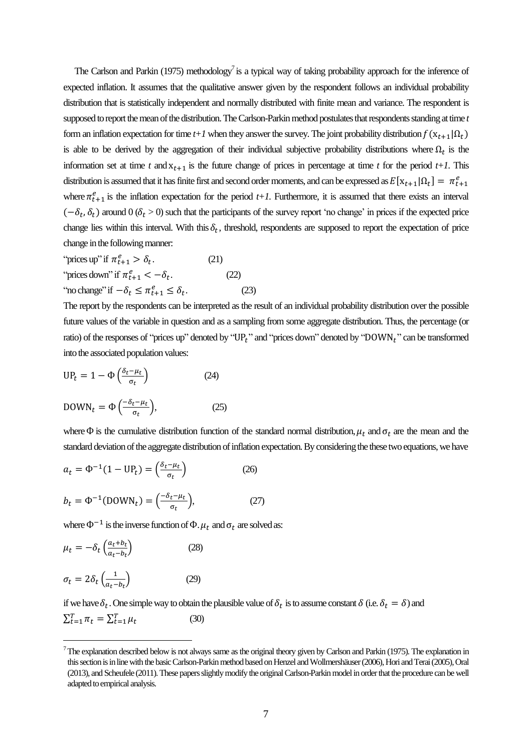The Carlson and Parkin (1975) methodology<sup>7</sup> is a typical way of taking probability approach for the inference of expected inflation. It assumes that the qualitative answer given by the respondent follows an individual probability distribution that is statistically independent and normally distributed with finite mean and variance. The respondent is supposed to report the mean of the distribution. The Carlson-Parkin method postulates that respondents standing at time *t* form an inflation expectation for time  $t+1$  when they answer the survey. The joint probability distribution  $f(x_{t+1} | \Omega_t)$ is able to be derived by the aggregation of their individual subjective probability distributions where  $\Omega_t$  is the information set at time *t* and  $x_{t+1}$  is the future change of prices in percentage at time *t* for the period *t+1*. This distribution is assumed that it has finite first and second order moments, and can be expressed as  $E[x_{t+1}|\Omega_t] = \pi_t^e$ where  $\pi_{t+1}^e$  is the inflation expectation for the period  $t+1$ . Furthermore, it is assumed that there exists an interval  $(-\delta_t, \delta_t)$  around  $0 \, (\delta_t > 0)$  such that the participants of the survey report 'no change' in prices if the expected price change lies within this interval. With this  $\delta_t$ , threshold, respondents are supposed to report the expectation of price change in the following manner:

"prices up" if 
$$
\pi_{t+1}^e > \delta_t
$$
.

\n" prices down" if  $\pi_{t+1}^e < -\delta_t$ .

\n"no change" if  $-\delta_t \leq \pi_{t+1}^e \leq \delta_t$ .

\n(22)

\n(23)

The report by the respondents can be interpreted as the result of an individual probability distribution over the possible future values of the variable in question and as a sampling from some aggregate distribution. Thus, the percentage (or ratio) of the responses of "prices up" denoted by "UP<sub>t</sub>" and "prices down" denoted by "DOWN<sub>t</sub>" can be transformed into the associated population values:

$$
UP_t = 1 - \Phi\left(\frac{\delta_t - \mu_t}{\sigma_t}\right)
$$
 (24)  
DOWN<sub>t</sub> =  $\Phi\left(\frac{-\delta_t - \mu_t}{\sigma_t}\right)$ , (25)

where  $\Phi$  is the cumulative distribution function of the standard normal distribution,  $\mu_t$  and  $\sigma_t$  are the mean and the standard deviation of the aggregate distribution of inflation expectation. By considering the these two equations, we have

$$
a_t = \Phi^{-1}(1 - \text{UP}_t) = \left(\frac{\delta_t - \mu_t}{\sigma_t}\right)
$$
(26)  

$$
b_t = \Phi^{-1}(\text{DOWN}_t) = \left(\frac{-\delta_t - \mu_t}{\sigma_t}\right),
$$
(27)

where  $\Phi^{-1}$  is the inverse function of  $\Phi$ .  $\mu_t$  and  $\sigma_t$  are solved as:

$$
\mu_t = -\delta_t \left( \frac{a_t + b_t}{a_t - b_t} \right) \tag{28}
$$
\n
$$
\sigma_t = 2\delta_t \left( \frac{1}{a_t - b_t} \right) \tag{29}
$$

 $\overline{a}$ 

if we have  $\delta_t$ . One simple way to obtain the plausible value of  $\delta_t$  is to assume constant  $\delta$  (i.e.  $\delta_t = \delta$ ) and  $\sum_{t=1}^{T} \pi_t = \sum_{t=1}^{T} \mu$ (30)

 $^7$ The explanation described below is not always same as the original theory given by Carlson and Parkin (1975). The explanation in this section is in line with the basic Carlson-Parkin method based on Henzel and Wollmershäuser (2006), Hori and Terai (2005), Oral (2013), and Scheufele (2011). These papersslightlymodify the original Carlson-Parkinmodel in order thatthe procedure can b[e well](http://ejje.weblio.jp/content/well) adapted to empirical analysis.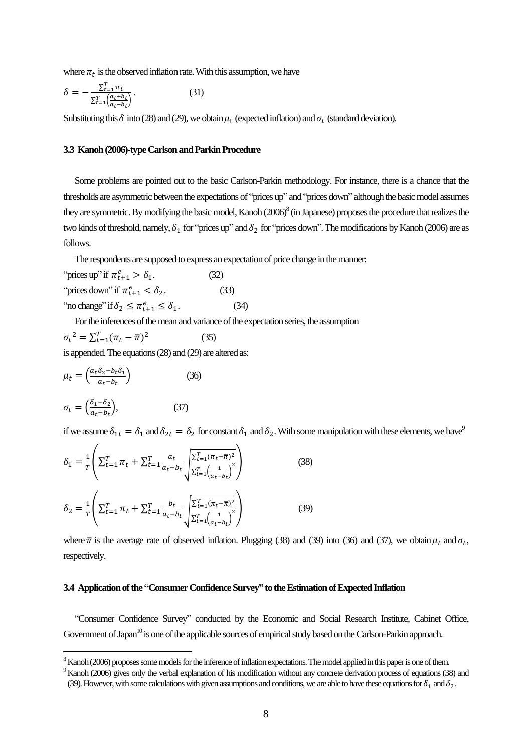where  $\pi_t$  is the observed inflation rate. With this assumption, we have

$$
\delta = -\frac{\Sigma_{t=1}^T \pi_t}{\Sigma_{t=1}^T \left(\frac{a_t + b_t}{a_t - b_t}\right)}.
$$
\n(31)

Substituting this  $\delta$  into (28) and (29), we obtain  $\mu_t$  (expected inflation) and  $\sigma_t$  (standard deviation).

#### **3.3 Kanoh(2006)-type Carlson and ParkinProcedure**

 Some problems are pointed out to the basic Carlson-Parkin methodology. For instance, there is a chance that the thresholds are asymmetric between the expectations of "prices up" and "prices down" although the basic model assumes they are symmetric. By modifying the basic model, Kanoh  $(2006)^8$  (in Japanese) proposes the procedure that realizes the two kinds of threshold, namely,  $\delta_1$  for "prices up" and  $\delta_2$  for "prices down". The modifications by Kanoh (2006) are as follows.

The respondents are supposed to express an expectation of price change in the manner:

"prices up" if 
$$
\pi_{t+1}^e > \delta_1
$$
.

\n"prices down" if  $\pi_{t+1}^e < \delta_2$ .

\n"no change" if  $\delta_2 \leq \pi_{t+1}^e \leq \delta_1$ .

\n(33)

\n(34)

For the inferences of the mean and variance of the expectation series, the assumption

$$
\sigma_t^2 = \sum_{t=1}^T (\pi_t - \overline{\pi})^2
$$
 (35)  
is appended. The equations (28) and (29) are altered as:

$$
\mu_t = \left(\frac{a_t \delta_2 - b_t \delta_1}{a_t - b_t}\right) \tag{36}
$$
\n
$$
\sigma_t = \left(\frac{\delta_1 - \delta_2}{a_t - b_t}\right), \tag{37}
$$

 $\overline{a}$ 

if we assume  $\delta_{1t} = \delta_1$  and  $\delta_{2t} = \delta_2$  for constant  $\delta_1$  and  $\delta_2$ . With some manipulation with these elements, we have

$$
\delta_1 = \frac{1}{T} \left( \sum_{t=1}^T \pi_t + \sum_{t=1}^T \frac{a_t}{a_t - b_t} \sqrt{\frac{\sum_{t=1}^T (\pi_t - \overline{\pi})^2}{\sum_{t=1}^T \left( \frac{1}{a_t - b_t} \right)^2}} \right)
$$
(38)  

$$
\delta_2 = \frac{1}{T} \left( \sum_{t=1}^T \pi_t + \sum_{t=1}^T \frac{b_t}{a_t - b_t} \sqrt{\frac{\sum_{t=1}^T (\pi_t - \overline{\pi})^2}{\sum_{t=1}^T \left( \frac{1}{a_t - b_t} \right)^2}} \right)
$$
(39)

where  $\bar{\pi}$  is the average rate of observed inflation. Plugging (38) and (39) into (36) and (37), we obtain  $\mu_t$  and  $\sigma_t$ , respectively.

#### **3.4 Application of the "Consumer Confidence Survey"to the Estimation of Expected Inflation**

 "Consumer Confidence Survey" conducted by the Economic and Social Research Institute, Cabinet Office, Government of Japan<sup>10</sup> is one of the applicable sources of empirical study based on the Carlson-Parkin approach.

<sup>&</sup>lt;sup>8</sup> Kanoh (2006) proposes some models for the inference of inflation expectations. The model applied in this paper is one of them.

<sup>&</sup>lt;sup>9</sup> Kanoh (2006) gives only the verbal explanation of his modification without any concrete derivation process of equations (38) and

<sup>(39).</sup> However, with some calculations with given assumptions and conditions, we are able to have these equations for  $\delta_1$  and  $\delta_2$ .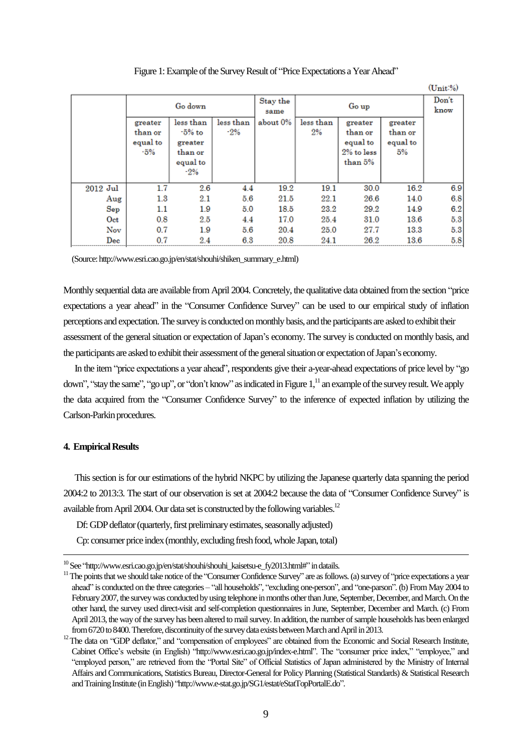|                             |                                       |                                                                |                    |          |                 |                                                         |                                      | $(\text{Unit-}\%)$ |
|-----------------------------|---------------------------------------|----------------------------------------------------------------|--------------------|----------|-----------------|---------------------------------------------------------|--------------------------------------|--------------------|
|                             | Go down                               |                                                                | Stay the<br>same   |          | Don't<br>know   |                                                         |                                      |                    |
|                             | greater<br>than or<br>equal to<br>-5% | less than<br>-5% to<br>greater<br>than or<br>equal to<br>$-2%$ | less than<br>$-2%$ | about 0% | less than<br>2% | greater<br>than or<br>equal to<br>2% to less<br>than 5% | greater<br>than or<br>equal to<br>5% |                    |
| 2012 Jul                    | 1.7                                   | 2.6                                                            | 4.4                | 19.2     | 19.1            | 30.0                                                    | 16.2                                 | 6.9                |
| Aug                         | $1.3\,$                               | 2.1                                                            | 5.6                | 21.5     | 22.1            | 26.6                                                    | 14.0                                 | 6.8                |
| Sep                         | 1.1                                   | 1.9                                                            | 5.0                | 18.5     | 23.2            | 29.2                                                    | 14.9                                 | 6.2                |
| Oct                         | 0.8                                   | $2.5\,$                                                        | 4.4                | 17.0     | 25.4            | 31.0                                                    | 13.6                                 | 5.3                |
| Nov                         | 0.7                                   | 1.9                                                            | 5.6                | 20.4     | 25.0            | 27.7                                                    | 13.3                                 | 5.3                |
| $\mathop{\rm Dec}\nolimits$ | 0.7                                   | $2.4\,$                                                        | 6.3                | 20.8     | 24.1            | 26.2                                                    | 13.6                                 | 5.8                |

Figure 1: Example of the Survey Result of "Price Expectations a Year Ahead"

(Source: http://www.esri.cao.go.jp/en/stat/shouhi/shiken\_summary\_e.html)

Monthly sequential data are available from April 2004. Concretely, the qualitative data obtained from the section "price expectations a year ahead" in the "Consumer Confidence Survey" can be used to our empirical study of inflation perceptions and expectation. The survey is conducted on monthly basis, and the participants are asked to exhibit their assessment of the general situation or expectation of Japan's economy. The survey is conducted on monthly basis, and the participants are asked to exhibittheir assessmentof the general situation or expectation of Japan's economy.

 In the item "price expectations a year ahead", respondents give their a-year-ahead expectations of price level by "go down", "stay the same", "go up", or "don't know" as indicated in Figure 1,<sup>11</sup> an example of the survey result. We apply the data acquired from the "Consumer Confidence Survey" to the inference of expected inflation by utilizing the Carlson-Parkin procedures.

#### **4. Empirical Results**

 $\overline{a}$ 

 This section is for our estimations of the hybrid NKPC by utilizing the Japanese quarterly data spanning the period 2004:2 to 2013:3. The start of our observation is set at 2004:2 because the data of "Consumer Confidence Survey" is available from April 2004. Our data set is constructed by the following variables.<sup>12</sup>

Df: GDP deflator (quarterly, first preliminary estimates, seasonally adjusted)

Cp: consumer price index (monthly, excluding fresh food, whole Japan, total)

 $10$ See "http://www.esri.cao.go.jp/en/stat/shouhi/shouhi\_kaisetsu-e\_fy2013.html#" in datails.

<sup>&</sup>lt;sup>11</sup>The points that we should take notice of the "Consumer Confidence Survey" are as follows. (a) survey of "price expectations a year ahead" is conducted on the three categories – "all households", "excluding one-person", and "one-parson". (b) From May 2004 to February 2007, the survey was conducted by using telephone in months other than June, September, December, and March. On the other hand, the survey used direct-visit and self-completion questionnaires in June, September, December and March. (c) From April 2013, the way of the survey has been altered to mail survey. In addition, the number of sample households has been enlarged from 6720 to 8400. Therefore, discontinuity of the survey data exists between March and April in 2013.

<sup>&</sup>lt;sup>12</sup>The data on "GDP deflator," and "compensation of employees" are obtained from the Economic and Social Research Institute, Cabinet Office's website (in English) "http://www.esri.cao.go.jp/index-e.html". The "consumer price index," "employee," and "employed person," are retrieved from the "Portal Site" of Official Statistics of Japan administered by the Ministry of Internal Affairs and Communications, Statistics Bureau, Director-General for Policy Planning (Statistical Standards) & Statistical Research and Training Institute (in English) "http://www.e-stat.go.jp/SG1/estat/eStatTopPortalE.do".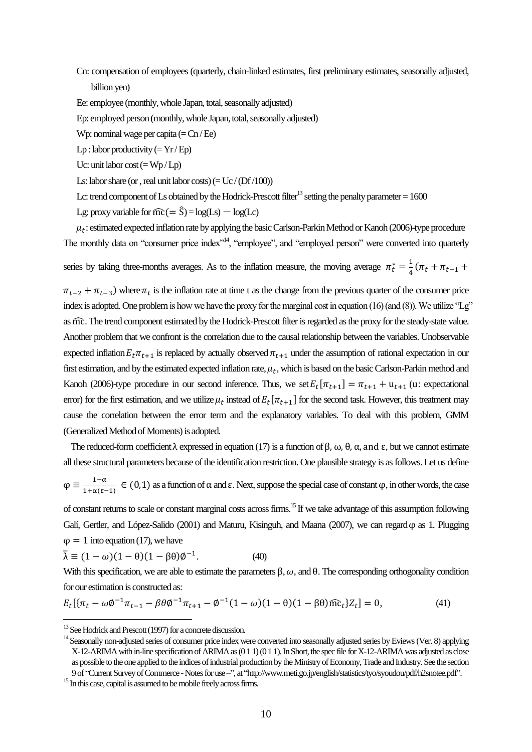Cn: compensation of employees (quarterly, chain-linked estimates, first preliminary estimates, seasonally adjusted, billion yen)

Ee: employee (monthly, whole Japan, total, seasonally adjusted)

Ep: employed person (monthly, whole Japan, total, seasonally adjusted)

Wp: nominal wage per capita  $(=\text{Cn}/\text{Ee})$ 

 $Lp$ : labor productivity (=  $Yr / Ep$ )

Uc: unit labor cost  $(= Wp/Lp)$ 

Ls: labor share (or, real unit labor costs)  $(= Uc / (Df/100))$ 

Lc: trend component of Ls obtained by the Hodrick-Prescott filter<sup>13</sup> setting the penalty parameter  $= 1600$ 

Lg: proxy variable for  $\widehat{mc} (= \widehat{S}) = log(Ls) - log(Lc)$ 

 $\mu_t$ : estimated expected inflation rate by applying the basic Carlson-Parkin Method or Kanoh (2006)-type procedure The monthly data on "consumer price index"<sup>14</sup>, "employee", and "employed person" were converted into quarterly

series by taking three-months averages. As to the inflation measure, the moving average  $\pi_t^* = \frac{1}{4}$  $rac{1}{4}$  (

 $\pi_{t-2} + \pi_{t-3}$ ) where  $\pi_t$  is the inflation rate at time t as the change from the previous quarter of the consumer price index is adopted. One problem is how we have the proxy for the marginal cost in equation (16) (and (8)). We utilize "Lg" as mc. The trend component estimated by the Hodrick-Prescott filter is regarded as the proxy for the steady-state value. Another problem that we confront is the correlation due to the causal relationship between the variables. Unobservable expected inflation  $E_t \pi_{t+1}$  is replaced by actually observed  $\pi_{t+1}$  under the assumption of rational expectation in our first estimation, and by the estimated expected inflation rate,  $\mu_t$ , which is based on the basic Carlson-Parkin method and Kanoh (2006)-type procedure in our second inference. Thus, we set  $E_t[\pi_{t+1}] = \pi_{t+1} + u_{t+1}$  (u: expectational error) for the first estimation, and we utilize  $\mu_t$  instead of  $E_t[\pi_{t+1}]$  for the second task. However, this treatment may cause the correlation between the error term and the explanatory variables. To deal with this problem, GMM (Generalized Method of Moments) is adopted.

The reduced-form coefficient  $\lambda$  expressed in equation (17) is a function of  $\beta$ ,  $\omega$ ,  $\theta$ ,  $\alpha$ , and  $\varepsilon$ , but we cannot estimate all these structural parameters because of the identification restriction. One plausible strategy is as follows. Let us define

$$
\varphi \equiv \frac{1-\alpha}{1+\alpha(\epsilon-1)} \in (0,1)
$$
 as a function of  $\alpha$  and  $\epsilon$ . Next, suppose the special case of constant  $\varphi$ , in other words, the case

of constant returns to scale or constant marginal costs across firms.<sup>15</sup> If we take advantage of this assumption following Galí, Gertler, and López-Salido (2001) and Maturu, Kisinguh, and Maana (2007), we can regard  $\varphi$  as 1. Plugging  $\varphi = 1$  into equation (17), we have

$$
\bar{\lambda} \equiv (1 - \omega)(1 - \theta)(1 - \beta \theta)\phi^{-1}.
$$
 (40)

With this specification, we are able to estimate the parameters  $\beta$ ,  $\omega$ , and  $\theta$ . The corresponding orthogonality condition for our estimation is constructed as:

$$
E_t[\{\pi_t - \omega \phi^{-1} \pi_{t-1} - \beta \theta \phi^{-1} \pi_{t+1} - \phi^{-1} (1 - \omega)(1 - \theta)(1 - \beta \theta) \widehat{mc}_t\} Z_t] = 0, \tag{41}
$$

 $\overline{a}$ 

<sup>&</sup>lt;sup>13</sup> See Hodrick and Prescott (1997) for a concrete discussion.

<sup>&</sup>lt;sup>14</sup> Seasonally non-adjusted series of consumer price index were converted into seasonally adjusted series by Eviews (Ver. 8) applying X-12-ARIMA with in-line specification of ARIMA as (011)(011). In Short, the spec file for X-12-ARIMA was adjusted as close as possible to the one applied to the indices of industrial production by the Ministry of Economy,Trade and Industry. See the section 9 of "Current Survey of Commerce -Notes for use–", at "http://www.meti.go.jp/english/statistics/tyo/syoudou/pdf/h2snotee.pdf".

<sup>&</sup>lt;sup>15</sup> In this case, capital is assumed to be mobile freely across firms.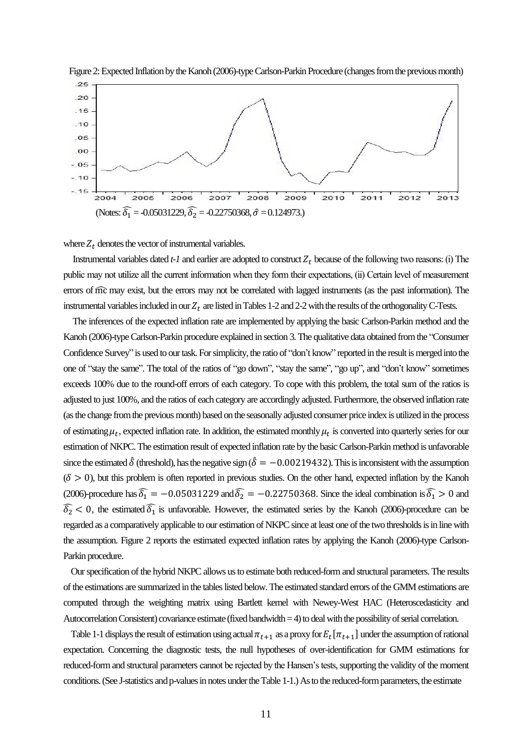



where  $Z_t$  denotes the vector of instrumental variables.

Instrumental variables dated  $t-1$  and earlier are adopted to construct  $Z_t$  because of the following two reasons: (i) The public may not utilize all the current information when they form their expectations, (іі) Certain level of measurement errors of mc may exist, but the errors may not be correlated with lagged instruments (as the past information). The instrumental variables included in our  $Z_t$  are listed in Tables 1-2 and 2-2 with the results of the orthogonality C-Tests.

 The inferences of the expected inflation rate are implemented by applying the basic Carlson-Parkin method and the Kanoh (2006)-type Carlson-Parkin procedure explained in section 3. The qualitative data obtained from the "Consumer Confidence Survey" is used to our task. For simplicity, the ratio of "don't know" reported in the result is merged into the one of "stay the same". The total of the ratios of "go down", "stay the same", "go up", and "don't know" sometimes exceeds 100% due to the round-off errors of each category. To cope with this problem, the total sum of the ratios is adjusted to just 100%, and the ratios of each category are accordingly adjusted. Furthermore, the observed inflation rate (as the change fromthe previous month) based on the seasonally adjusted consumer price index is utilized in the process of estimating  $\mu_t$ , expected inflation rate. In addition, the estimated monthly  $\mu_t$  is converted into quarterly series for our estimation of NKPC. The estimation result of expected inflation rate by the basic Carlson-Parkin method is unfavorable since the estimated  $\delta$  (threshold), has the negative sign ( $\delta = -0.00219432$ ). This is inconsistent with the assumption  $(\delta > 0)$ , but this problem is often reported in previous studies. On the other hand, expected inflation by the Kanoh (2006)-procedure has  $\widehat{\delta_1} = -0.05031229$  and  $\widehat{\delta_2} = -0.22750368$ . Since the ideal combination is  $\widehat{\delta_1} > 0$  and  $\widehat{\delta}_2$  < 0, the estimated  $\widehat{\delta}_1$  is unfavorable. However, the estimated series by the Kanoh (2006)-procedure can be regarded as a comparatively applicable to our estimation of NKPC since at least one of the two thresholds is in line with the assumption. Figure 2 reports the estimated expected inflation rates by applying the Kanoh (2006)-type Carlson-Parkin procedure.

 Our specification of the hybrid NKPC allows us to estimate both reduced-form and structural parameters. The results of the estimations are summarized in the tables listed below. The estimated standard errors of the GMM estimations are computed through the weighting matrix using Bartlett kernel with Newey-West HAC (Heteroscedasticity and Autocorrelation Consistent) covariance estimate (fixed bandwidth = 4) to deal with the possibility of serial correlation.

Table 1-1 displays the result of estimation using actual  $\pi_{t+1}$  as a proxy for  $E_t[\pi_{t+1}]$  under the assumption of rational expectation. Concerning the diagnostic tests, the null hypotheses of over-identification for GMM estimations for reduced-form and structural parameters cannot be rejected by the Hansen's tests, supporting the validity of the moment conditions. (See J-statistics and p-values in notes under the Table 1-1.) As to the reduced-form parameters, the estimate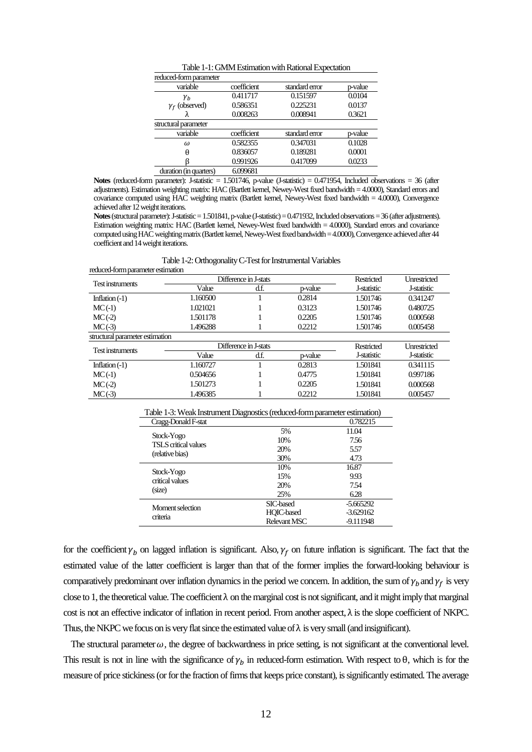| Table 1-1: GMM Estimation with Rational Expectation |             |                |         |  |  |  |  |
|-----------------------------------------------------|-------------|----------------|---------|--|--|--|--|
| reduced-form parameter                              |             |                |         |  |  |  |  |
| variable                                            | coefficient | standard error | p-value |  |  |  |  |
| Yь                                                  | 0.411717    | 0.151597       | 0.0104  |  |  |  |  |
| $\gamma_f$ (observed)                               | 0.586351    | 0.225231       | 0.0137  |  |  |  |  |
|                                                     | 0.008263    | 0.008941       | 0.3621  |  |  |  |  |
| structural parameter                                |             |                |         |  |  |  |  |
| variable                                            | coefficient | standard error | p-value |  |  |  |  |
| $\omega$                                            | 0.582355    | 0.347031       | 0.1028  |  |  |  |  |
| A                                                   | 0.836057    | 0.189281       | 0.0001  |  |  |  |  |
|                                                     | 0.991926    | 0.417099       | 0.0233  |  |  |  |  |
| duration (in quarters)                              | 6.099681    |                |         |  |  |  |  |

**Notes** (reduced-form parameter): J-statistic = 1.501746, p-value (J-statistic) = 0.471954, Included observations = 36 (after adjustments). Estimation weighting matrix: HAC (Bartlett kernel, Newey-West fixed bandwidth = 4.0000), Standard errors and covariance computed using HAC weighting matrix (Bartlett kernel, Newey-West fixed bandwidth = 4.0000), Convergence achieved after 12weight iterations.

**Notes**(structural parameter): J-statistic = 1.501841, p-value(J-statistic) = 0.471932, Included observations = 36 (after adjustments). Estimation weighting matrix: HAC (Bartlett kernel, Newey-West fixed bandwidth = 4.0000), Standard errors and covariance computed using HAC weighting matrix (Bartlett kernel, Newey-West fixed bandwidth = 4.0000), Convergence achieved after 44 coefficient and 14 weight iterations.

Table 1-2: Orthogonality C-Test for Instrumental Variables

| reduced-form parameter estimation |                       |      |         |             |                     |
|-----------------------------------|-----------------------|------|---------|-------------|---------------------|
| Test instruments                  | Difference in J-stats |      |         | Restricted  | <b>Unrestricted</b> |
|                                   | Value                 | d.f. | p-value | J-statistic | J-statistic         |
| Inflation $(-1)$                  | 1.160500              |      | 0.2814  | 1.501746    | 0.341247            |
| $MC(-1)$                          | 1.021021              |      | 0.3123  | 1.501746    | 0.480725            |
| $MC(-2)$                          | 1.501178              |      | 0.2205  | 1.501746    | 0.000568            |
| $MC(-3)$                          | 1.496288              |      | 0.2212  | 1.501746    | 0.005458            |
| structural parameter estimation   |                       |      |         |             |                     |
| Test instruments                  | Difference in J-stats |      |         | Restricted  | <b>Unrestricted</b> |
|                                   | Value                 | d.f. | p-value | J-statistic | J-statistic         |
| Inflation $(-1)$                  | 1.160727              |      | 0.2813  | 1.501841    | 0.341115            |
| $MC(-1)$                          | 0.504656              |      | 0.4775  | 1.501841    | 0.997186            |
| $MC(-2)$                          | 1.501273              |      | 0.2205  | 1.501841    | 0.000568            |
| $MC(-3)$                          | 1.496385              |      | 0.2212  | 1.501841    | 0.005457            |
|                                   |                       |      |         |             |                     |

|          |                                            | Table 1-3: Weak Instrument Diagnostics (reduced-form parameter estimation) |             |  |  |  |
|----------|--------------------------------------------|----------------------------------------------------------------------------|-------------|--|--|--|
|          | Cragg-Donald F-stat                        |                                                                            | 0.782215    |  |  |  |
|          |                                            | 5%                                                                         | 11.04       |  |  |  |
|          | Stock-Yogo<br><b>TSI S critical values</b> | 10%                                                                        | 7.56        |  |  |  |
|          |                                            | 20%                                                                        | 5.57        |  |  |  |
|          | (relative bias)                            | 30%                                                                        | 4.73        |  |  |  |
|          |                                            | 10%                                                                        | 16.87       |  |  |  |
|          | Stock-Yogo<br>critical values              | 15%                                                                        | 9.93        |  |  |  |
|          |                                            | 20%                                                                        | 7.54        |  |  |  |
| (size)   |                                            | 25%                                                                        | 6.28        |  |  |  |
|          | Moment selection                           | SIC-based                                                                  | $-5.665292$ |  |  |  |
| criteria |                                            | HOIC-based                                                                 | $-3.629162$ |  |  |  |
|          |                                            | Relevant MSC                                                               | -9.111948   |  |  |  |

for the coefficient  $\gamma_b$  on lagged inflation is significant. Also,  $\gamma_f$  on future inflation is significant. The fact that the estimated value of the latter coefficient is larger than that of the former implies the forward-looking behaviour is comparatively predominant over inflation dynamics in the period we concern. In addition, the sum of  $\gamma_h$  and  $\gamma_f$  is very close to 1, the theoretical value. The coefficient  $\lambda$  on the marginal cost is not significant, and it might imply that marginal cost is not an effective indicator of inflation in recent period. From another aspect,  $\lambda$  is the slope coefficient of NKPC. Thus, the NKPC we focus on is very flat since the estimated value of  $\lambda$  is very small (and insignificant).

The structural parameter  $\omega$ , the degree of backwardness in price setting, is not significant at the conventional level. This result is not in line with the significance of  $\gamma_h$  in reduced-form estimation. With respect to  $\theta$ , which is for the measure of price stickiness (or for the fraction of firms that keeps price constant), is significantly estimated. The average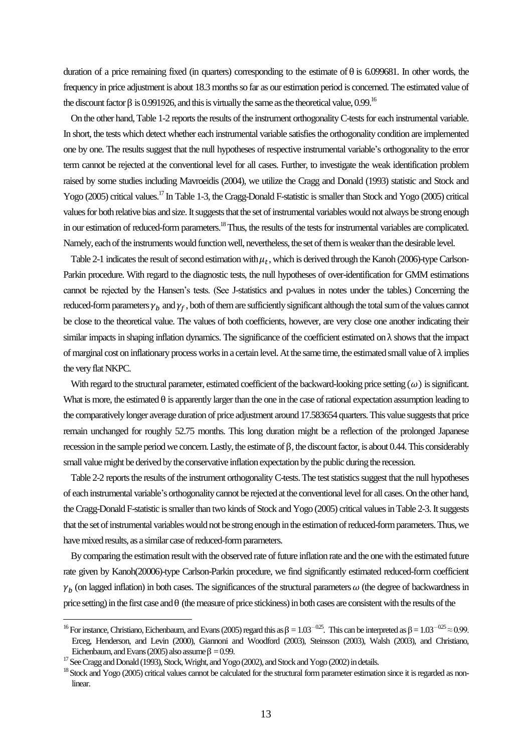duration of a price remaining fixed (in quarters) corresponding to the estimate of  $\theta$  is 6.099681. In other words, the frequency in price adjustment is about 18.3 months so far as our estimation period is concerned. The estimated value of the discount factor  $\beta$  is 0.991926, and this is virtually the same as the theoretical value, 0.99.<sup>16</sup>

 On the other hand, Table 1-2 reports the results of the instrument orthogonality C-tests for each instrumental variable. In short, the tests which detect whether each instrumental variable satisfiesthe orthogonality condition are implemented one by one. The results suggest that the null hypotheses of respective instrumental variable's orthogonality to the error term cannot be rejected at the conventional level for all cases. Further, to investigate the weak identification problem raised by some studies including Mavroeidis (2004), we utilize the Cragg and Donald (1993) statistic and Stock and Yogo (2005) critical values.<sup>17</sup> In Table 1-3, the Cragg-Donald F-statistic is smaller than Stock and Yogo (2005) critical values for both relative bias and size. It suggests that the set of instrumental variables would not always be strong enough in our estimation of reduced-form parameters.<sup>18</sup> Thus, the results of the tests for instrumental variables are complicated. Namely, each of the instruments would function well, nevertheless, the set of them is weaker than the desirable level.

Table 2-1 indicates the result of second estimation with  $\mu_t$ , which is derived through the Kanoh (2006)-type Carlson-Parkin procedure. With regard to the diagnostic tests, the null hypotheses of over-identification for GMM estimations cannot be rejected by the Hansen's tests. (See J-statistics and p-values in notes under the tables.) Concerning the reduced-form parameters  $\gamma_b$  and  $\gamma_f$ , both of them are sufficiently significant although the total sum of the values cannot be close to the theoretical value. The values of both coefficients, however, are very close one another indicating their similar impacts in shaping inflation dynamics. The significance of the coefficient estimated on  $\lambda$  shows that the impact of marginal cost on inflationary process works in a certain level. At the same time, the estimated small value of  $\lambda$  implies the very flat NKPC.

With regard to the structural parameter, estimated coefficient of the backward-looking price setting  $(\omega)$  is significant. What is more, the estimated  $\theta$  is apparently larger than the one in the case of rational expectation assumption leading to the comparatively longer average duration of price adjustment around 17.583654 quarters. This value suggests that price remain unchanged for roughly 52.75 months. This long duration might be a reflection of the prolonged Japanese recession in the sample period we concern. Lastly, the estimate of  $\beta$ , the discount factor, is about 0.44. This considerably small value might be derived by the conservative inflation expectation by the public during the recession.

 Table 2-2 reports the results of the instrument orthogonality C-tests.The test statistics suggest that the null hypotheses of each instrumental variable's orthogonality cannot be rejected at the conventional level for all cases. On the other hand, the Cragg-Donald F-statistic is smaller than two kinds of Stock and Yogo (2005) critical values in Table 2-3. It suggests that the set of instrumental variables would not be strongenough in the estimation of reduced-form parameters. Thus, we have mixed results, as a similar case of reduced-form parameters.

 By comparing the estimation result with the observed rate of future inflation rate and the one with the estimated future rate given by Kanoh(20006)-type Carlson-Parkin procedure, we find significantly estimated reduced-form coefficient  $\gamma_h$  (on lagged inflation) in both cases. The significances of the structural parameters  $\omega$  (the degree of backwardness in price setting) in the first case and  $\theta$  (the measure of price stickiness) in both cases are consistent with the results of the

 $\overline{a}$ 

<sup>&</sup>lt;sup>16</sup> For instance, Christiano, Eichenbaum, and Evans (2005) regard this as  $\beta = 1.03^{-0.25}$ . This can be interpreted as  $\beta = 1.03^{-0.25} \approx 0.99$ . Erceg, Henderson, and Levin (2000), Giannoni and Woodford (2003), Steinsson (2003), Walsh (2003), and Christiano, Eichenbaum, and Evans (2005) also assume  $\beta = 0.99$ .

<sup>&</sup>lt;sup>17</sup> See Cragg and Donald (1993), Stock, Wright, and Yogo (2002), and Stock and Yogo (2002) in details.

<sup>&</sup>lt;sup>18</sup> Stock and Yogo (2005) critical values cannot be calculated for the structural form parameter estimation since it is regarded as nonlinear.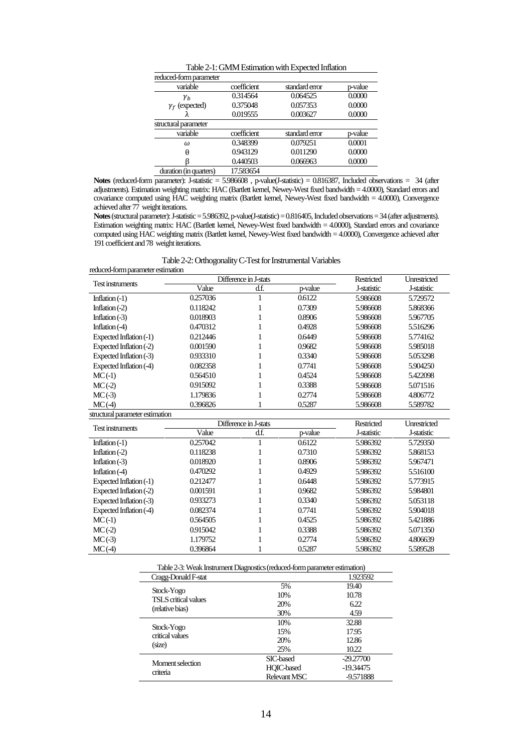| Table 2-1: GMM Estimation with Expected Inflation |             |                |         |  |  |  |
|---------------------------------------------------|-------------|----------------|---------|--|--|--|
| reduced-form parameter                            |             |                |         |  |  |  |
| variable                                          | coefficient | standard error | p-value |  |  |  |
| $\gamma_{h}$                                      | 0.314564    | 0.064525       | 0.0000  |  |  |  |
| $\gamma_f$ (expected)                             | 0.375048    | 0.057353       | 0.0000  |  |  |  |
|                                                   | 0.019555    | 0.003627       | 0.0000  |  |  |  |
| structural parameter                              |             |                |         |  |  |  |
| variable                                          | coefficient | standard error | p-value |  |  |  |
| $\omega$                                          | 0.348399    | 0.079251       | 0.0001  |  |  |  |
| A                                                 | 0.943129    | 0.011290       | 0.0000  |  |  |  |
|                                                   | 0.440503    | 0.066963       | 0.0000  |  |  |  |
| duration (in quarters)                            | 17.583654   |                |         |  |  |  |

**Notes** (reduced-form parameter): J-statistic = 5.986608 , p-value(J-statistic) = 0.816387, Included observations = 34 (after adjustments). Estimation weighting matrix: HAC (Bartlett kernel, Newey-West fixed bandwidth = 4.0000), Standard errors and covariance computed using HAC weighting matrix (Bartlett kernel, Newey-West fixed bandwidth = 4.0000), Convergence achieved after 77 weight iterations.

**Notes**(structural parameter): J-statistic = 5.986392, p-value(J-statistic) = 0.816405, Included observations = 34(after adjustments). Estimation weighting matrix: HAC (Bartlett kernel, Newey-West fixed bandwidth = 4.0000), Standard errors and covariance computed using HAC weighting matrix (Bartlett kernel, Newey-West fixed bandwidth = 4.0000), Convergence achieved after 191 coefficient and 78 weight iterations.

Table 2-2: Orthogonality C-Test for Instrumental Variables

| reduced-form parameter estimation |                       |                       |         |             |                     |  |
|-----------------------------------|-----------------------|-----------------------|---------|-------------|---------------------|--|
| Test instruments                  | Difference in J-stats |                       |         | Restricted  | Unrestricted        |  |
|                                   | Value                 | d.f.                  | p-value | J-statistic | J-statistic         |  |
| Inflation $(-1)$                  | 0.257036              | 1                     | 0.6122  | 5.986608    | 5.729572            |  |
| Inflation $(-2)$                  | 0.118242              | 1                     | 0.7309  | 5.986608    | 5.868366            |  |
| Inflation $(-3)$                  | 0.018903              | 1                     | 0.8906  | 5.986608    | 5.967705            |  |
| Inflation $(4)$                   | 0.470312              | 1                     | 0.4928  | 5.986608    | 5.516296            |  |
| Expected Inflation (-1)           | 0.212446              | 1                     | 0.6449  | 5.986608    | 5.774162            |  |
| Expected Inflation (-2)           | 0.001590              | 1                     | 0.9682  | 5.986608    | 5.985018            |  |
| Expected Inflation (-3)           | 0.933310              | 1                     | 0.3340  | 5.986608    | 5.053298            |  |
| Expected Inflation (-4)           | 0.082358              | 1                     | 0.7741  | 5.986608    | 5.904250            |  |
| $MC(-1)$                          | 0.564510              | 1                     | 0.4524  | 5.986608    | 5.422098            |  |
| $MC(-2)$                          | 0.915092              | 1                     | 0.3388  | 5.986608    | 5.071516            |  |
| $MC(-3)$                          | 1.179836              | 1                     | 0.2774  | 5.986608    | 4.806772            |  |
| MC(4)                             | 0.396826              | 1                     | 0.5287  | 5.986608    | 5.589782            |  |
| structural parameter estimation   |                       |                       |         |             |                     |  |
| Test instruments                  |                       | Difference in J-stats |         | Restricted  | <b>Unrestricted</b> |  |
|                                   | Value                 | d.f.                  | p-value | J-statistic | J-statistic         |  |
| Inflation $(-1)$                  | 0.257042              | 1                     | 0.6122  | 5.986392    | 5.729350            |  |
| Inflation $(-2)$                  | 0.118238              | 1                     | 0.7310  | 5.986392    | 5.868153            |  |
| Inflation $(-3)$                  | 0.018920              | 1                     | 0.8906  | 5.986392    | 5.967471            |  |
| Inflation $(4)$                   | 0.470292              | 1                     | 0.4929  | 5.986392    | 5.516100            |  |
| Expected Inflation (-1)           | 0.212477              | 1                     | 0.6448  | 5.986392    | 5.773915            |  |
| Expected Inflation (-2)           | 0.001591              | 1                     | 0.9682  | 5.986392    | 5.984801            |  |
| Expected Inflation (-3)           | 0.933273              | 1                     | 0.3340  | 5.986392    | 5.053118            |  |
| Expected Inflation (-4)           | 0.082374              | 1                     | 0.7741  | 5.986392    | 5.904018            |  |
| $MC(-1)$                          | 0.564505              | 1                     | 0.4525  | 5.986392    | 5.421886            |  |
| $MC(-2)$                          | 0.915042              | 1                     | 0.3388  | 5.986392    | 5.071350            |  |
| $MC(-3)$                          | 1.179752              | 1                     | 0.2774  | 5.986392    | 4.806639            |  |
| MC(4)                             | 0.396864              | 1                     | 0.5287  | 5.986392    | 5.589528            |  |
|                                   |                       |                       |         |             |                     |  |

| Table 2-3: Weak Instrument Diagnostics (reduced-form parameter estimation) |  |
|----------------------------------------------------------------------------|--|
|----------------------------------------------------------------------------|--|

| Cragg-Donald F-stat                |              | 1.923592    |
|------------------------------------|--------------|-------------|
|                                    | 5%           | 19.40       |
| Stock-Yogo<br>TSLS critical values | 10%          | 10.78       |
|                                    | 20%          | 6.22        |
| (relative bias)                    | 30%          | 4.59        |
|                                    | 10%          | 32.88       |
| Stock-Yogo<br>critical values      | 15%          | 17.95       |
|                                    | 20%          | 12.86       |
| (size)                             | 25%          | 10.22       |
| Moment selection                   | SIC-based    | $-29.27700$ |
| criteria                           | HOIC-based   | -19.34475   |
|                                    | Relevant MSC | -9.571888   |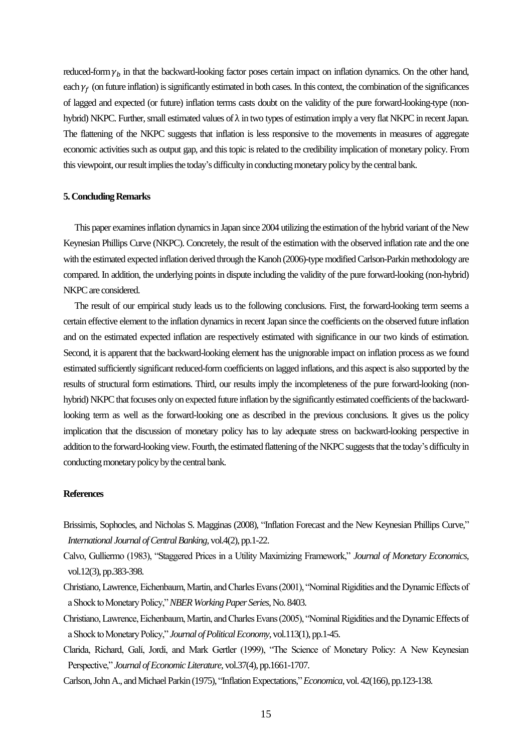reduced-form  $\gamma_h$  in that the backward-looking factor poses certain impact on inflation dynamics. On the other hand, each  $\gamma_f$  (on future inflation) is significantly estimated in both cases. In this context, the combination of the significances of lagged and expected (or future) inflation terms casts doubt on the validity of the pure forward-looking-type (nonhybrid) NKPC. Further, small estimated values of  $\lambda$  in two types of estimation imply a very flat NKPC in recent Japan. The flattening of the NKPC suggests that inflation is less responsive to the movements in measures of aggregate economic activities such as output gap, and this topic is related to the credibility implication of monetary policy. From this viewpoint, our result implies the today's difficulty in conducting monetary policy by the central bank.

#### **5. Concluding Remarks**

 This paper examinesinflation dynamics in Japan since 2004 utilizing the estimation of the hybrid variant of the New Keynesian Phillips Curve (NKPC). Concretely, the result of the estimation with the observed inflation rate and the one with the estimated expected inflation derived through the Kanoh (2006)-type modified Carlson-Parkin methodology are compared. In addition, the underlying points in dispute including the validity of the pure forward-looking (non-hybrid) NKPC are considered.

 The result of our empirical study leads us to the following conclusions. First, the forward-looking term seems a certain effective element to the inflation dynamics in recent Japan since the coefficients on the observed future inflation and on the estimated expected inflation are respectively estimated with significance in our two kinds of estimation. Second, it is apparent that the backward-looking element has the unignorable impact on inflation process as we found estimated sufficiently significant reduced-form coefficients on lagged inflations, and this aspect is also supported by the results of structural form estimations. Third, our results imply the incompleteness of the pure forward-looking (nonhybrid) NKPC that focuses only on expected future inflation by the significantly estimated coefficients of the backwardlooking term as well as the forward-looking one as described in the previous conclusions. It gives us the policy implication that the discussion of monetary policy has to lay adequate stress on backward-looking perspective in addition to the forward-looking view. Fourth, the estimated flattening of the NKPC suggests that the today's difficulty in conducting monetary policy by the central bank.

#### **References**

- Brissimis, Sophocles, and Nicholas S. Magginas (2008), "Inflation Forecast and the New Keynesian Phillips Curve," *International Journal of Central Banking*, vol.4(2), pp.1-22.
- Calvo, Gulliermo (1983), "Staggered Prices in a Utility Maximizing Framework," *Journal of Monetary Economics*, vol.12(3), pp.383-398.
- Christiano, Lawrence, Eichenbaum, Martin, and Charles Evans (2001), "Nominal Rigidities and the Dynamic Effects of a Shock to Monetary Policy," *NBER Working Paper Series*, No. 8403.
- Christiano, Lawrence, Eichenbaum, Martin, and Charles Evans (2005), "Nominal Rigidities and the Dynamic Effects of a Shock to Monetary Policy," *Journal of Political Economy*, vol.113(1), pp.1-45.
- Clarida, Richard, Galí, Jordi, and Mark Gertler (1999), "The Science of Monetary Policy: A New Keynesian Perspective," *Journal of Economic Literature*, vol.37(4), pp.1661-1707.
- Carlson, John A., and Michael Parkin (1975), "Inflation Expectations,"*Economica*, vol. 42(166), pp.123-138.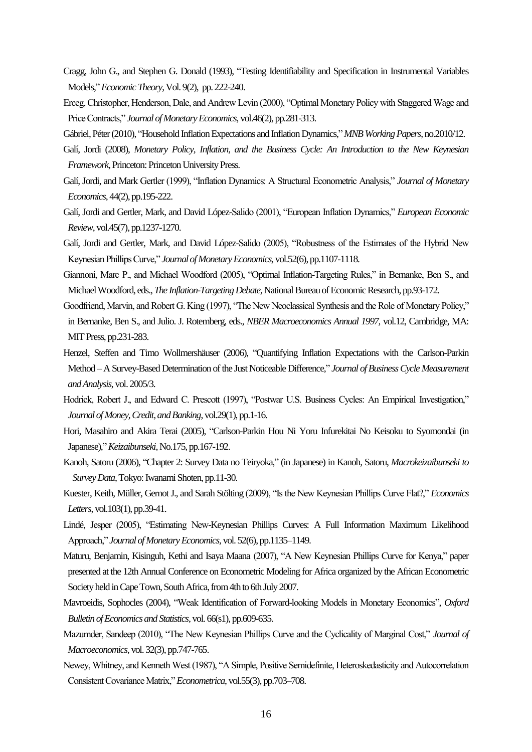- Cragg, John G., and Stephen G. Donald (1993), "Testing Identifiability and Specification in Instrumental Variables Models,"*Economic Theory*, Vol. 9(2), pp. 222-240.
- Erceg, Christopher, Henderson, Dale, and Andrew Levin (2000), "Optimal Monetary Policy with Staggered Wage and Price Contracts," *Journal of Monetary Economics*, vol.46(2), pp.281-313.
- Gábriel, Péter (2010), "Household Inflation Expectations and Inflation Dynamics,"*MNB Working Papers*, no.2010/12.
- Galí, Jordi (2008), *Monetary Policy, Inflation, and the Business Cycle: An Introduction to the New Keynesian Framework*, Princeton: Princeton University Press.
- Galí, Jordi, and Mark Gertler (1999), "Inflation Dynamics: A Structural Econometric Analysis," *Journal of Monetary Economics*, 44(2), pp.195-222.
- Galí, Jordi and Gertler, Mark, and David López-Salido (2001), "European Inflation Dynamics," *European Economic Review*, vol.45(7), pp.1237-1270.
- Galí, Jordi and Gertler, Mark, and David López-Salido (2005), "Robustness of the Estimates of the Hybrid New Keynesian Phillips Curve," *Journal of Monetary Economics*, vol.52(6), pp.1107-1118.
- Giannoni, Marc P., and Michael Woodford (2005), "Optimal Inflation-Targeting Rules," in Bernanke, Ben S., and Michael Woodford, eds., *The Inflation-Targeting Debate,*National Bureau of Economic Research, pp.93-172.
- Goodfriend, Marvin, and Robert G. King (1997), "The New Neoclassical Synthesis and the Role of Monetary Policy," in Bernanke, Ben S., and Julio. J. Rotemberg, eds., *NBER Macroeconomics Annual 1997,* vol.12, Cambridge, MA: MIT Press, pp.231-283.
- Henzel, Steffen and Timo Wollmershäuser (2006), "Quantifying Inflation Expectations with the Carlson-Parkin Method – A Survey-Based Determination of the Just Noticeable Difference," *Journal of Business Cycle Measurement and Analysis*, vol. 2005/3.
- Hodrick, Robert J., and Edward C. Prescott (1997), "Postwar U.S. Business Cycles: An Empirical Investigation," *Journal of Money, Credit, and Banking*, vol.29(1), pp.1-16.
- Hori, Masahiro and Akira Terai (2005), "Carlson-Parkin Hou Ni Yoru Infurekitai No Keisoku to Syomondai (in Japanese),"*Keizaibunseki*, No.175, pp.167-192.
- Kanoh, Satoru (2006), "Chapter 2: Survey Data no Teiryoka," (in Japanese) in Kanoh, Satoru, *Macrokeizaibunseki to Survey Data*, Tokyo: Iwanami Shoten, pp.11-30.
- Kuester, Keith, Müller, Gernot J., and Sarah Stölting (2009), "Is the New Keynesian Phillips Curve Flat?," *Economics Letters*, vol.103(1), pp.39-41.
- Lindé, Jesper (2005), "Estimating New-Keynesian Phillips Curves: A Full Information Maximum Likelihood Approach," *Journal of Monetary Economics*, vol. 52(6), pp.1135–1149.
- Maturu, Benjamin, Kisinguh, Kethi and Isaya Maana (2007), "A New Keynesian Phillips Curve for Kenya," paper presented at the 12th Annual Conference on Econometric Modeling for Africa organized by the African Econometric Society held in Cape Town, South Africa, from 4th to 6th July 2007.
- Mavroeidis, Sophocles (2004), "Weak Identification of Forward-looking Models in Monetary Economics", *Oxford Bulletin of Economics and Statistics*, vol. 66(s1), pp.609-635.
- Mazumder, Sandeep (2010), "The New Keynesian Phillips Curve and the Cyclicality of Marginal Cost," *Journal of Macroeconomics*, vol. 32(3), pp.747-765.
- Newey, Whitney, and Kenneth West (1987), "A Simple, Positive Semidefinite, Heteroskedasticity and Autocorrelation Consistent Covariance Matrix," *Econometrica*, vol.55(3), pp.703–708.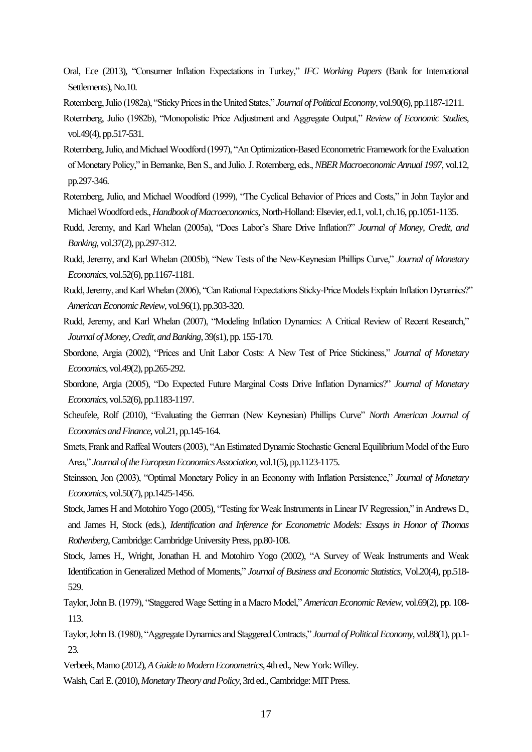- Oral, Ece (2013), "Consumer Inflation Expectations in Turkey," *IFC Working Papers* (Bank for International Settlements), No.10.
- Rotemberg, Julio (1982a), "Sticky Prices in the United States," *Journal of Political Economy*, vol.90(6), pp.1187-1211.
- Rotemberg, Julio (1982b), "Monopolistic Price Adjustment and Aggregate Output," *Review of Economic Studies*, vol.49(4), pp.517-531.
- Rotemberg, Julio, and Michael Woodford (1997), "An Optimization-Based Econometric Framework for the Evaluation of Monetary Policy," in Bernanke, Ben S., and Julio. J. Rotemberg, eds., *NBER Macroeconomic Annual 1997*, vol.12, pp.297-346.
- Rotemberg, Julio, and Michael Woodford (1999), "The Cyclical Behavior of Prices and Costs," in John Taylor and Michael Woodford eds., *Handbook of Macroeconomics*, North-Holland: Elsevier, ed.1, vol.1, ch.16, pp.1051-1135.
- Rudd, Jeremy, and Karl Whelan (2005a), "Does Labor's Share Drive Inflation?" *Journal of Money, Credit, and Banking*, vol.37(2), pp.297-312.
- Rudd, Jeremy, and Karl Whelan (2005b), "New Tests of the New-Keynesian Phillips Curve," *Journal of Monetary Economics*, vol.52(6), pp.1167-1181.
- Rudd, Jeremy, and Karl Whelan (2006), "Can Rational Expectations Sticky-Price Models Explain Inflation Dynamics?" *American Economic Review*, vol.96(1), pp.303-320.
- Rudd, Jeremy, and Karl Whelan (2007), "Modeling Inflation Dynamics: A Critical Review of Recent Research," *Journal of Money, Credit, and Banking*, 39(s1), pp. 155-170.
- Sbordone, Argia (2002), "Prices and Unit Labor Costs: A New Test of Price Stickiness," *Journal of Monetary Economics*, vol.49(2), pp.265-292.
- Sbordone, Argia (2005), "Do Expected Future Marginal Costs Drive Inflation Dynamics?" *Journal of Monetary Economics*, vol.52(6), pp.1183-1197.
- Scheufele, Rolf (2010), "Evaluating the German (New Keynesian) Phillips Curve" *North American Journal of Economics and Finance*, vol.21, pp.145-164.
- Smets, Frank and Raffeal Wouters (2003), "An Estimated Dynamic Stochastic General Equilibrium Model of the Euro Area," *Journal of the European Economics Association*, vol.1(5), pp.1123-1175.
- Steinsson, Jon (2003), "Optimal Monetary Policy in an Economy with Inflation Persistence," *Journal of Monetary Economics*, vol.50(7), pp.1425-1456.
- Stock, James H and Motohiro Yogo (2005), "Testing for Weak Instruments in Linear IV Regression," in Andrews D., and James H, Stock (eds.), *Identification and Inference for Econometric Models: Essays in Honor of Thomas Rothenberg*, Cambridge: Cambridge University Press, pp.80-108.
- Stock, James H., Wright, Jonathan H. and Motohiro Yogo (2002), "A Survey of Weak Instruments and Weak Identification in Generalized Method of Moments," *Journal of Business and Economic Statistics*, Vol.20(4), pp.518- 529.
- Taylor, John B. (1979), "Staggered Wage Setting in a Macro Model," *American Economic Review*, vol.69(2), pp. 108- 113.
- Taylor, John B. (1980), "Aggregate Dynamics and Staggered Contracts," *Journal of Political Economy*, vol.88(1), pp.1- 23.
- Verbeek, Marno (2012), *A Guide to Modern Econometrics*, 4th ed., New York: Willey.
- Walsh, Carl E. (2010), *Monetary Theory and Policy*, 3rd ed., Cambridge: MIT Press.